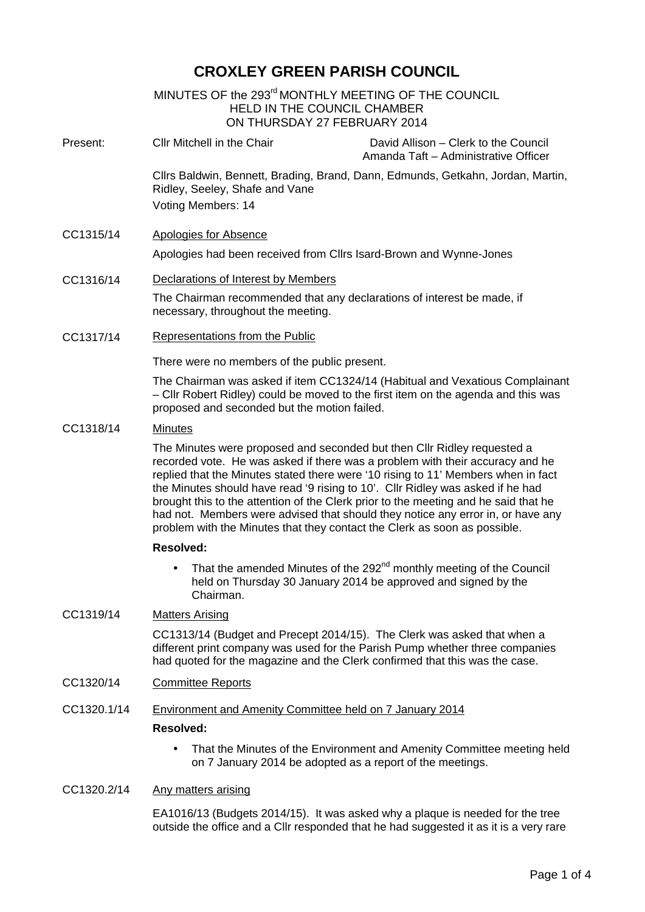# **CROXLEY GREEN PARISH COUNCIL**

# MINUTES OF the 293 $^{\sf rd}$ MONTHLY MEETING OF THE COUNCIL HELD IN THE COUNCIL CHAMBER ON THURSDAY 27 FEBRUARY 2014 Present: Cllr Mitchell in the Chair David Allison – Clerk to the Council Amanda Taft – Administrative Officer Cllrs Baldwin, Bennett, Brading, Brand, Dann, Edmunds, Getkahn, Jordan, Martin, Ridley, Seeley, Shafe and Vane Voting Members: 14 CC1315/14 Apologies for Absence Apologies had been received from Cllrs Isard-Brown and Wynne-Jones CC1316/14 Declarations of Interest by Members The Chairman recommended that any declarations of interest be made, if necessary, throughout the meeting. CC1317/14 Representations from the Public There were no members of the public present. The Chairman was asked if item CC1324/14 (Habitual and Vexatious Complainant – Cllr Robert Ridley) could be moved to the first item on the agenda and this was proposed and seconded but the motion failed. CC1318/14 Minutes The Minutes were proposed and seconded but then Cllr Ridley requested a recorded vote. He was asked if there was a problem with their accuracy and he replied that the Minutes stated there were '10 rising to 11' Members when in fact the Minutes should have read '9 rising to 10'. Cllr Ridley was asked if he had brought this to the attention of the Clerk prior to the meeting and he said that he had not. Members were advised that should they notice any error in, or have any problem with the Minutes that they contact the Clerk as soon as possible. **Resolved:** • That the amended Minutes of the 292<sup>nd</sup> monthly meeting of the Council held on Thursday 30 January 2014 be approved and signed by the Chairman. CC1319/14 Matters Arising CC1313/14 (Budget and Precept 2014/15). The Clerk was asked that when a different print company was used for the Parish Pump whether three companies had quoted for the magazine and the Clerk confirmed that this was the case. CC1320/14 Committee Reports CC1320.1/14 Environment and Amenity Committee held on 7 January 2014 **Resolved:** • That the Minutes of the Environment and Amenity Committee meeting held on 7 January 2014 be adopted as a report of the meetings. CC1320.2/14 Any matters arising

EA1016/13 (Budgets 2014/15). It was asked why a plaque is needed for the tree outside the office and a Cllr responded that he had suggested it as it is a very rare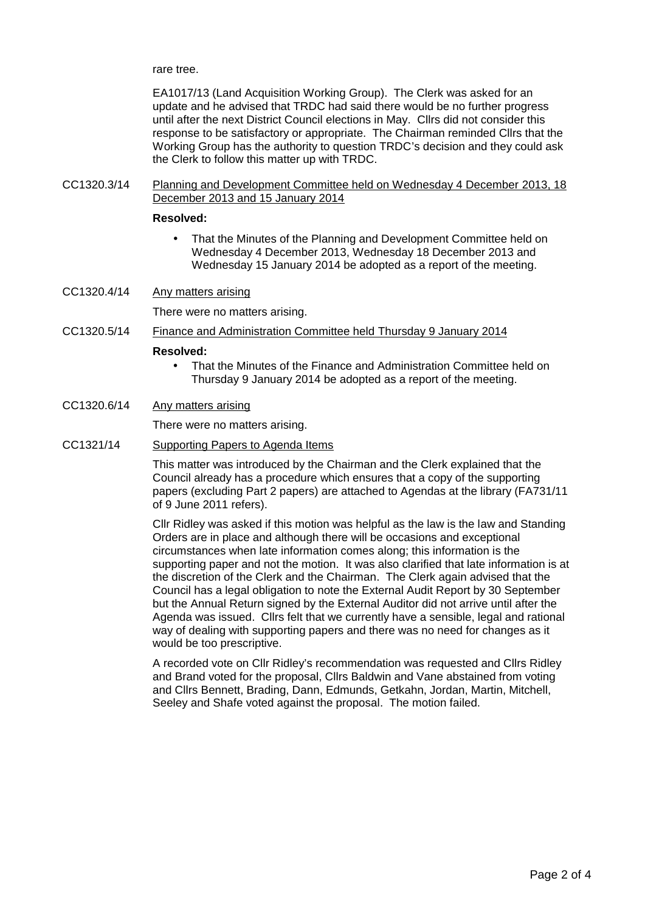rare tree.

EA1017/13 (Land Acquisition Working Group). The Clerk was asked for an update and he advised that TRDC had said there would be no further progress until after the next District Council elections in May. Cllrs did not consider this response to be satisfactory or appropriate. The Chairman reminded Cllrs that the Working Group has the authority to question TRDC's decision and they could ask the Clerk to follow this matter up with TRDC.

CC1320.3/14 Planning and Development Committee held on Wednesday 4 December 2013, 18 December 2013 and 15 January 2014

### **Resolved:**

- That the Minutes of the Planning and Development Committee held on Wednesday 4 December 2013, Wednesday 18 December 2013 and Wednesday 15 January 2014 be adopted as a report of the meeting.
- CC1320.4/14 Any matters arising

There were no matters arising.

CC1320.5/14 Finance and Administration Committee held Thursday 9 January 2014

#### **Resolved:**

- That the Minutes of the Finance and Administration Committee held on Thursday 9 January 2014 be adopted as a report of the meeting.
- CC1320.6/14 Any matters arising

There were no matters arising.

CC1321/14 Supporting Papers to Agenda Items

This matter was introduced by the Chairman and the Clerk explained that the Council already has a procedure which ensures that a copy of the supporting papers (excluding Part 2 papers) are attached to Agendas at the library (FA731/11 of 9 June 2011 refers).

Cllr Ridley was asked if this motion was helpful as the law is the law and Standing Orders are in place and although there will be occasions and exceptional circumstances when late information comes along; this information is the supporting paper and not the motion. It was also clarified that late information is at the discretion of the Clerk and the Chairman. The Clerk again advised that the Council has a legal obligation to note the External Audit Report by 30 September but the Annual Return signed by the External Auditor did not arrive until after the Agenda was issued. Cllrs felt that we currently have a sensible, legal and rational way of dealing with supporting papers and there was no need for changes as it would be too prescriptive.

A recorded vote on Cllr Ridley's recommendation was requested and Cllrs Ridley and Brand voted for the proposal, Cllrs Baldwin and Vane abstained from voting and Cllrs Bennett, Brading, Dann, Edmunds, Getkahn, Jordan, Martin, Mitchell, Seeley and Shafe voted against the proposal. The motion failed.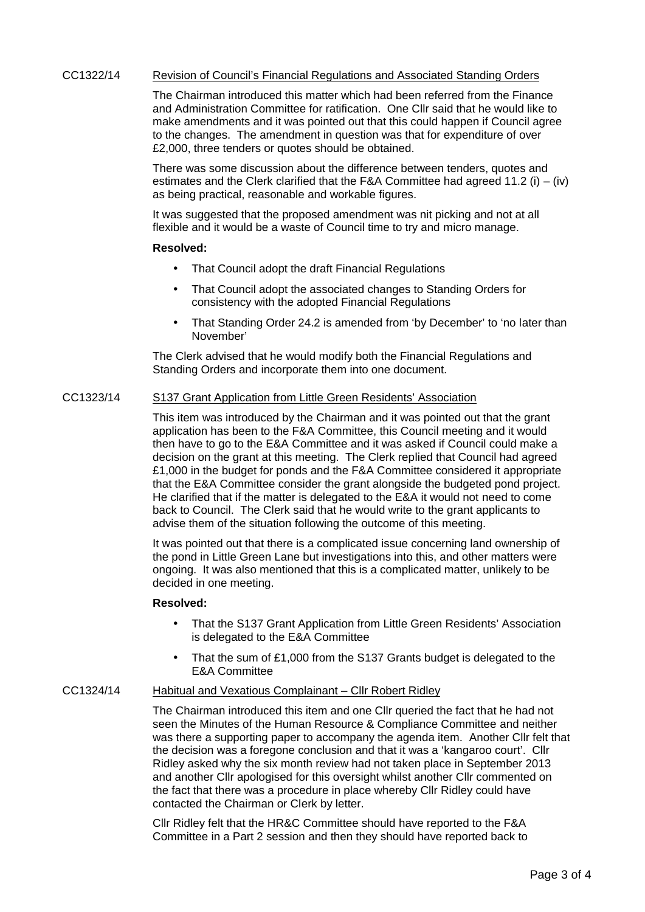### CC1322/14 Revision of Council's Financial Regulations and Associated Standing Orders

The Chairman introduced this matter which had been referred from the Finance and Administration Committee for ratification. One Cllr said that he would like to make amendments and it was pointed out that this could happen if Council agree to the changes. The amendment in question was that for expenditure of over £2,000, three tenders or quotes should be obtained.

There was some discussion about the difference between tenders, quotes and estimates and the Clerk clarified that the F&A Committee had agreed 11.2 (i) – (iv) as being practical, reasonable and workable figures.

It was suggested that the proposed amendment was nit picking and not at all flexible and it would be a waste of Council time to try and micro manage.

### **Resolved:**

- That Council adopt the draft Financial Regulations
- That Council adopt the associated changes to Standing Orders for consistency with the adopted Financial Regulations
- That Standing Order 24.2 is amended from 'by December' to 'no later than November'

The Clerk advised that he would modify both the Financial Regulations and Standing Orders and incorporate them into one document.

# CC1323/14 S137 Grant Application from Little Green Residents' Association

This item was introduced by the Chairman and it was pointed out that the grant application has been to the F&A Committee, this Council meeting and it would then have to go to the E&A Committee and it was asked if Council could make a decision on the grant at this meeting. The Clerk replied that Council had agreed £1,000 in the budget for ponds and the F&A Committee considered it appropriate that the E&A Committee consider the grant alongside the budgeted pond project. He clarified that if the matter is delegated to the E&A it would not need to come back to Council. The Clerk said that he would write to the grant applicants to advise them of the situation following the outcome of this meeting.

It was pointed out that there is a complicated issue concerning land ownership of the pond in Little Green Lane but investigations into this, and other matters were ongoing. It was also mentioned that this is a complicated matter, unlikely to be decided in one meeting.

#### **Resolved:**

- That the S137 Grant Application from Little Green Residents' Association is delegated to the E&A Committee
- That the sum of £1,000 from the S137 Grants budget is delegated to the E&A Committee

## CC1324/14 Habitual and Vexatious Complainant – Cllr Robert Ridley

The Chairman introduced this item and one Cllr queried the fact that he had not seen the Minutes of the Human Resource & Compliance Committee and neither was there a supporting paper to accompany the agenda item. Another Cllr felt that the decision was a foregone conclusion and that it was a 'kangaroo court'. Cllr Ridley asked why the six month review had not taken place in September 2013 and another Cllr apologised for this oversight whilst another Cllr commented on the fact that there was a procedure in place whereby Cllr Ridley could have contacted the Chairman or Clerk by letter.

Cllr Ridley felt that the HR&C Committee should have reported to the F&A Committee in a Part 2 session and then they should have reported back to